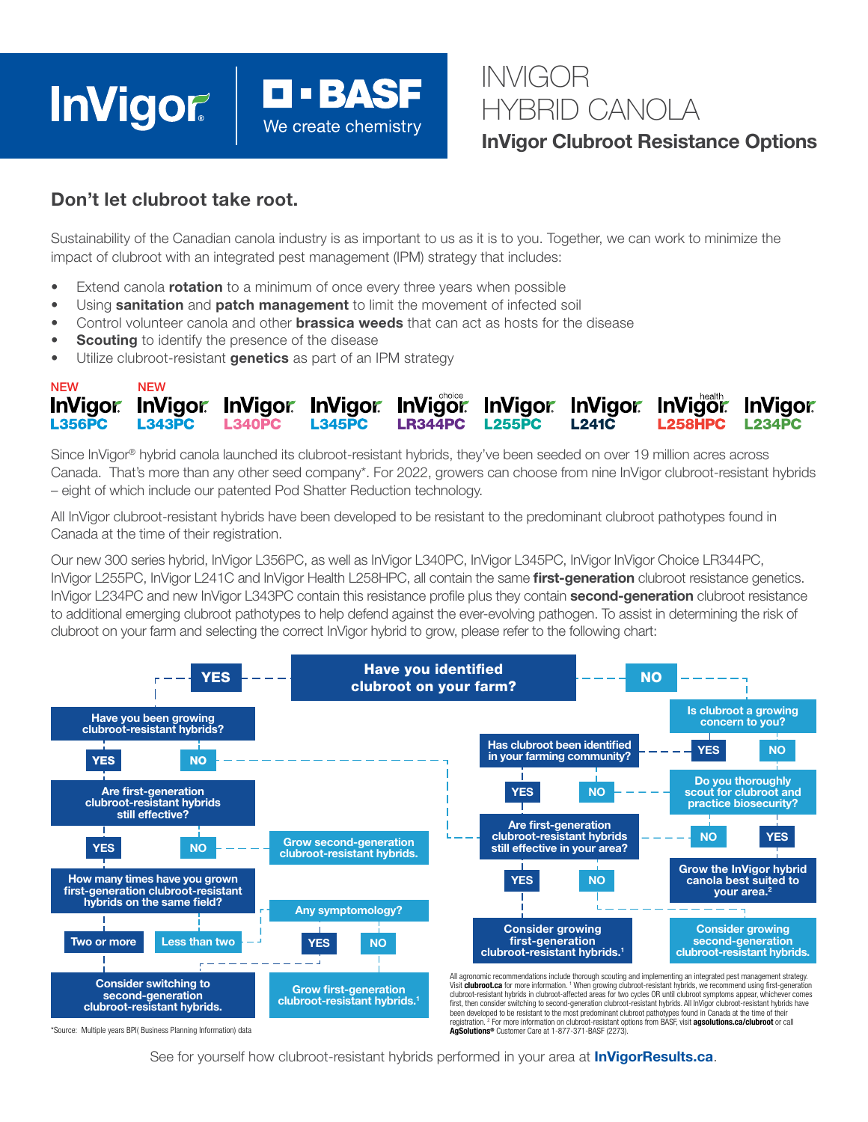# **InVigor**

## INVIGOR HYBRID CANOLA

InVigor Clubroot Resistance Options

## Don't let clubroot take root.

Sustainability of the Canadian canola industry is as important to us as it is to you. Together, we can work to minimize the impact of clubroot with an integrated pest management (IPM) strategy that includes:

- Extend canola **rotation** to a minimum of once every three years when possible
- Using sanitation and patch management to limit the movement of infected soil
- Control volunteer canola and other **brassica weeds** that can act as hosts for the disease

**O - BASF** 

We create chemistry

- **Scouting** to identify the presence of the disease
- Utilize clubroot-resistant genetics as part of an IPM strategy

#### $NFW$ InVigor InVigor InVigor InVigor InVigor InVigor InVigor InVigor InVigor **L255PC L356PC L343PC L340PC L345PC LR344PC L258HPC**  $1.23$ <sub>A</sub>PC

Since InVigor® hybrid canola launched its clubroot-resistant hybrids, they've been seeded on over 19 million acres across Canada. That's more than any other seed company\*. For 2022, growers can choose from nine InVigor clubroot-resistant hybrids – eight of which include our patented Pod Shatter Reduction technology.

All InVigor clubroot-resistant hybrids have been developed to be resistant to the predominant clubroot pathotypes found in Canada at the time of their registration.

Our new 300 series hybrid, InVigor L356PC, as well as InVigor L340PC, InVigor L345PC, InVigor InVigor Choice LR344PC, InVigor L255PC, InVigor L241C and InVigor Health L258HPC, all contain the same first-generation clubroot resistance genetics. InVigor L234PC and new InVigor L343PC contain this resistance profile plus they contain second-generation clubroot resistance to additional emerging clubroot pathotypes to help defend against the ever-evolving pathogen. To assist in determining the risk of clubroot on your farm and selecting the correct InVigor hybrid to grow, please refer to the following chart:



\*Source: Multiple years BPI( Business Planning Information) data

See for yourself how clubroot-resistant hybrids performed in your area at **InVigorResults.ca.** 

AgSolutions® Customer Care at 1-877-371-BASF (2273)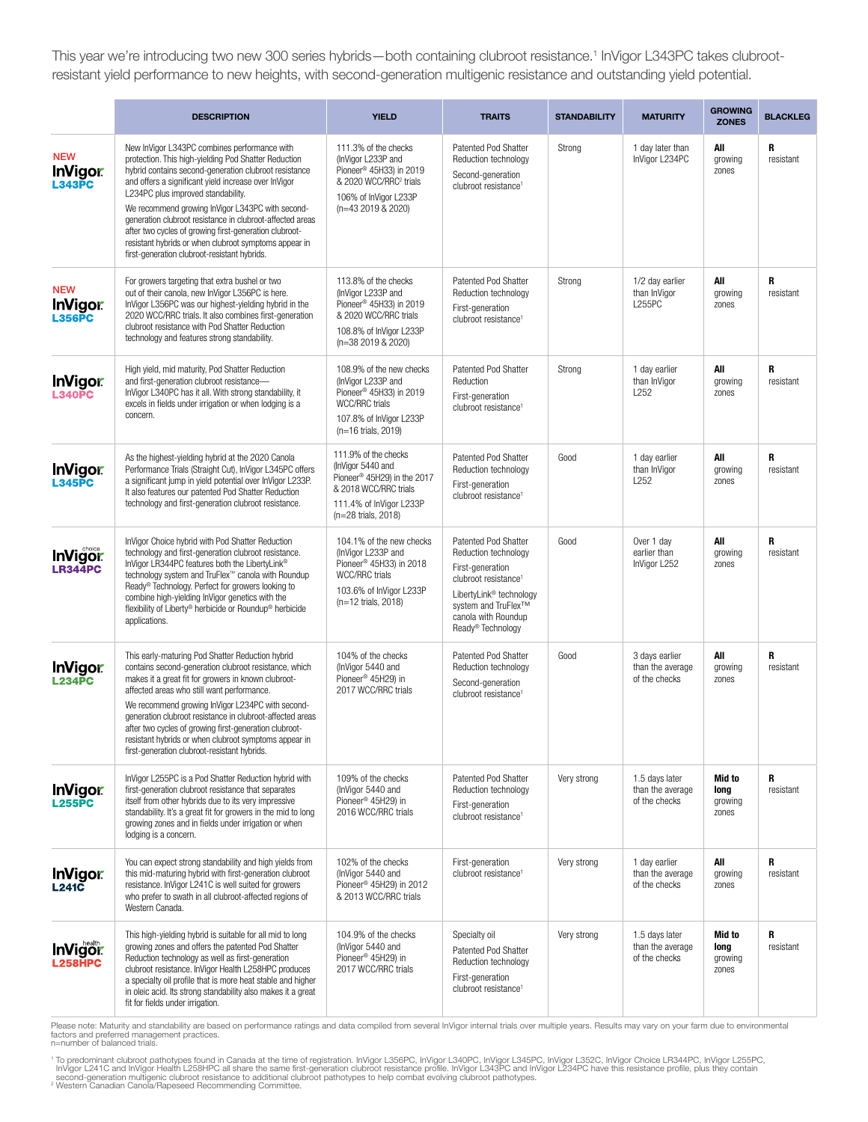This year we're introducing two new 300 series hybrids—both containing clubroot resistance.1 InVigor L343PC takes clubrootresistant yield performance to new heights, with second-generation multigenic resistance and outstanding yield potential.

|                                                    | <b>DESCRIPTION</b>                                                                                                                                                                                                                                                                                                                                                                                                                                                                                                                              | <b>YIELD</b>                                                                                                                                                           | <b>TRAITS</b>                                                                                                                                                                                                  | <b>STANDABILITY</b> | <b>MATURITY</b>                                     | <b>GROWING</b><br><b>ZONES</b>     | <b>BLACKLEG</b> |
|----------------------------------------------------|-------------------------------------------------------------------------------------------------------------------------------------------------------------------------------------------------------------------------------------------------------------------------------------------------------------------------------------------------------------------------------------------------------------------------------------------------------------------------------------------------------------------------------------------------|------------------------------------------------------------------------------------------------------------------------------------------------------------------------|----------------------------------------------------------------------------------------------------------------------------------------------------------------------------------------------------------------|---------------------|-----------------------------------------------------|------------------------------------|-----------------|
| <b>NEW</b><br><b>InVigor</b><br>L <sub>343PC</sub> | New InVigor L343PC combines performance with<br>protection. This high-yielding Pod Shatter Reduction<br>hybrid contains second-generation clubroot resistance<br>and offers a significant yield increase over InVigor<br>L234PC plus improved standability.<br>We recommend growing InVigor L343PC with second-<br>generation clubroot resistance in clubroot-affected areas<br>after two cycles of growing first-generation clubroot-<br>resistant hybrids or when clubroot symptoms appear in<br>first-generation clubroot-resistant hybrids. | 111.3% of the checks<br>(InVigor L233P and<br>Pioneer <sup>®</sup> 45H33) in 2019<br>& 2020 WCC/RRC <sup>2</sup> trials<br>106% of InVigor L233P<br>(n=43 2019 & 2020) | <b>Patented Pod Shatter</b><br>Reduction technology<br>Second-generation<br>clubroot resistance <sup>1</sup>                                                                                                   | Strong              | 1 day later than<br>InVigor L234PC                  | All<br>growing<br>zones            | R<br>resistant  |
| <b>NEW</b><br><b>InVigor</b><br>L356PC             | For growers targeting that extra bushel or two<br>out of their canola, new InVigor L356PC is here.<br>InVigor L356PC was our highest-yielding hybrid in the<br>2020 WCC/RRC trials. It also combines first-generation<br>clubroot resistance with Pod Shatter Reduction<br>technology and features strong standability.                                                                                                                                                                                                                         | 113.8% of the checks<br>(InVigor L233P and<br>Pioneer <sup>®</sup> 45H33) in 2019<br>& 2020 WCC/RRC trials<br>108.8% of InVigor L233P<br>(n=38 2019 & 2020)            | <b>Patented Pod Shatter</b><br>Reduction technology<br>First-generation<br>clubroot resistance <sup>1</sup>                                                                                                    | Strong              | 1/2 day earlier<br>than InVigor<br><b>L255PC</b>    | All<br>growing<br>zones            | R<br>resistant  |
| <b>InVigor</b><br>L <sub>340PC</sub>               | High yield, mid maturity, Pod Shatter Reduction<br>and first-generation clubroot resistance-<br>InVigor L340PC has it all. With strong standability, it<br>excels in fields under irrigation or when lodging is a<br>concern.                                                                                                                                                                                                                                                                                                                   | 108.9% of the new checks<br>(InVigor L233P and<br>Pioneer <sup>®</sup> 45H33) in 2019<br>WCC/RRC trials<br>107.8% of InVigor L233P<br>(n=16 trials, 2019)              | <b>Patented Pod Shatter</b><br>Reduction<br>First-generation<br>clubroot resistance <sup>1</sup>                                                                                                               | Strong              | 1 day earlier<br>than InVigor<br>L <sub>252</sub>   | All<br>growing<br>zones            | R<br>resistant  |
| <b>InVigor</b><br>L <sub>345PC</sub>               | As the highest-yielding hybrid at the 2020 Canola<br>Performance Trials (Straight Cut), InVigor L345PC offers<br>a significant jump in yield potential over InVigor L233P.<br>It also features our patented Pod Shatter Reduction<br>technology and first-generation clubroot resistance.                                                                                                                                                                                                                                                       | 111.9% of the checks<br>(InVigor 5440 and<br>Pioneer <sup>®</sup> 45H29) in the 2017<br>& 2018 WCC/RRC trials<br>111.4% of InVigor L233P<br>(n=28 trials, 2018)        | <b>Patented Pod Shatter</b><br>Reduction technology<br>First-generation<br>clubroot resistance <sup>1</sup>                                                                                                    | Good                | 1 day earlier<br>than InVigor<br>L252               | All<br>growing<br>zones            | R<br>resistant  |
| <b>InVigor</b><br><b>LR344PC</b>                   | InVigor Choice hybrid with Pod Shatter Reduction<br>technology and first-generation clubroot resistance.<br>InVigor LR344PC features both the LibertyLink®<br>technology system and TruFlex™ canola with Roundup<br>Ready <sup>®</sup> Technology. Perfect for growers looking to<br>combine high-yielding InVigor genetics with the<br>flexibility of Liberty® herbicide or Roundup® herbicide<br>applications.                                                                                                                                | 104.1% of the new checks<br>(InVigor L233P and<br>Pioneer <sup>®</sup> 45H33) in 2018<br>WCC/RRC trials<br>103.6% of InVigor L233P<br>(n=12 trials, 2018)              | Patented Pod Shatter<br>Reduction technology<br>First-generation<br>clubroot resistance <sup>1</sup><br>LibertyLink <sup>®</sup> technology<br>system and TruFlex™<br>canola with Roundup<br>Ready® Technology | Good                | Over 1 day<br>earlier than<br>InVigor L252          | All<br>growing<br>zones            | R<br>resistant  |
| <b>InVigor</b><br><b>L234PC</b>                    | This early-maturing Pod Shatter Reduction hybrid<br>contains second-generation clubroot resistance, which<br>makes it a great fit for growers in known clubroot-<br>affected areas who still want performance.<br>We recommend growing InVigor L234PC with second-<br>generation clubroot resistance in clubroot-affected areas<br>after two cycles of growing first-generation clubroot-<br>resistant hybrids or when clubroot symptoms appear in<br>first-generation clubroot-resistant hybrids.                                              | 104% of the checks<br>(InVigor 5440 and<br>Pioneer <sup>®</sup> 45H29) in<br>2017 WCC/RRC trials                                                                       | <b>Patented Pod Shatter</b><br>Reduction technology<br>Second-generation<br>clubroot resistance <sup>1</sup>                                                                                                   | Good                | 3 days earlier<br>than the average<br>of the checks | All<br>growing<br>zones            | R<br>resistant  |
| <b>InVigor</b><br>L <sub>255PC</sub>               | InVigor L255PC is a Pod Shatter Reduction hybrid with<br>first-generation clubroot resistance that separates<br>itself from other hybrids due to its very impressive<br>standability. It's a great fit for growers in the mid to long<br>growing zones and in fields under irrigation or when<br>lodging is a concern.                                                                                                                                                                                                                          | 109% of the checks<br>(InVigor 5440 and<br>Pioneer <sup>®</sup> 45H29) in<br>2016 WCC/RRC trials                                                                       | Patented Pod Shatter<br>Reduction technology<br>First-generation<br>clubroot resistance <sup>1</sup>                                                                                                           | Very strong         | 1.5 days later<br>than the average<br>of the checks | Mid to<br>long<br>growing<br>zones | R<br>resistant  |
| <b>InVigor</b><br>L <sub>241</sub> c               | You can expect strong standability and high yields from<br>this mid-maturing hybrid with first-generation clubroot<br>resistance. InVigor L241C is well suited for growers<br>who prefer to swath in all clubroot-affected regions of<br>Western Canada.                                                                                                                                                                                                                                                                                        | 102% of the checks<br>(InVigor 5440 and<br>Pioneer <sup>®</sup> 45H29) in 2012<br>& 2013 WCC/RRC trials                                                                | First-generation<br>clubroot resistance <sup>1</sup>                                                                                                                                                           | Very strong         | 1 day earlier<br>than the average<br>of the checks  | All<br>growing<br>zones            | R<br>resistant  |
| <b>InVigor</b>                                     | This high-yielding hybrid is suitable for all mid to long<br>growing zones and offers the patented Pod Shatter<br>Reduction technology as well as first-generation<br>clubroot resistance. InVigor Health L258HPC produces<br>a specialty oil profile that is more heat stable and higher<br>in oleic acid. Its strong standability also makes it a great<br>fit for fields under irrigation.                                                                                                                                                   | 104.9% of the checks<br>(InVigor 5440 and<br>Pioneer <sup>®</sup> 45H29) in<br>2017 WCC/RRC trials                                                                     | Specialty oil<br>Patented Pod Shatter<br>Reduction technology<br>First-generation<br>clubroot resistance <sup>1</sup>                                                                                          | Very strong         | 1.5 days later<br>than the average<br>of the checks | Mid to<br>long<br>growing<br>zones | R<br>resistant  |

Please note: Maturity and standability are based on performance ratings and data compiled from several InVigor internal trials over multiple years. Results may vary on your farm due to environmental<br>factors and preferred m

<sup>1</sup> To predominant clubroot pathotypes found in Canada at the time of registration. InVigor L356PC, InVigor L340PC, InVigor L345PC, InVigor L352C, InVigor Choice LR344PC, InVigor L255PC,<br>InVigor L241C and InVigor Health L2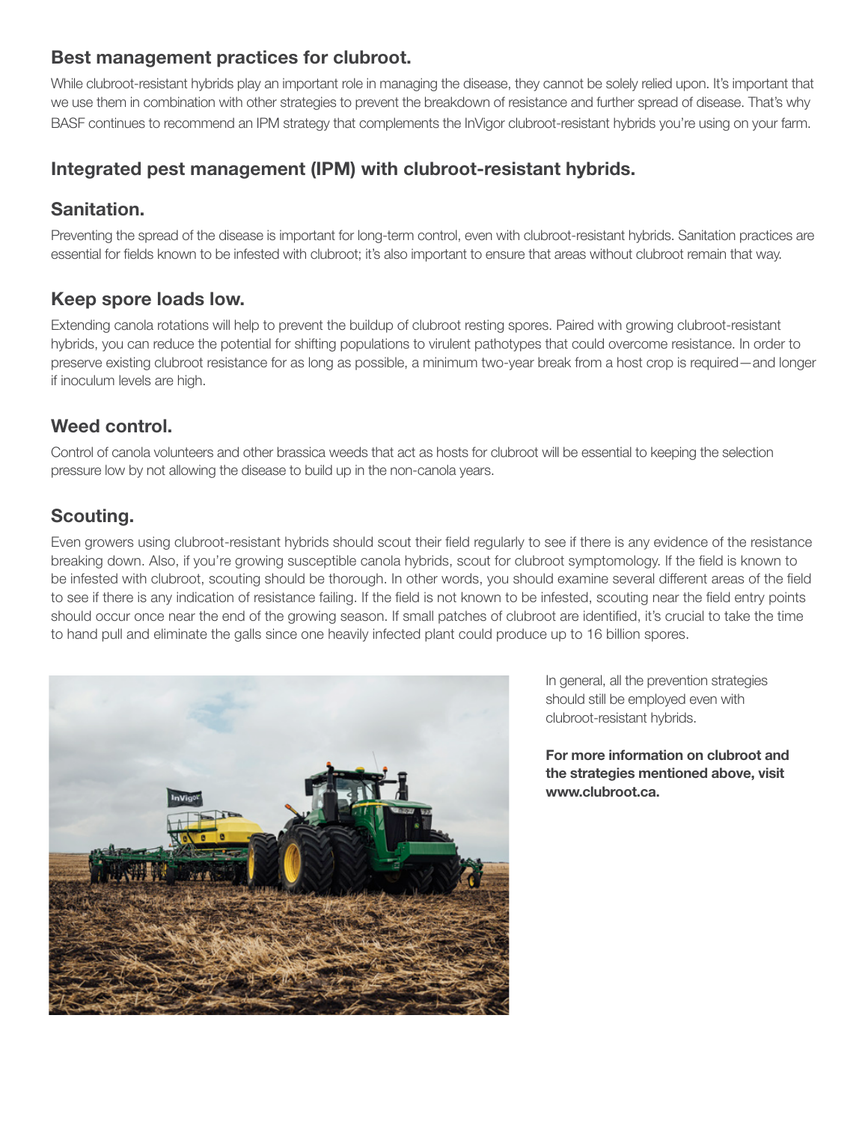## Best management practices for clubroot.

While clubroot-resistant hybrids play an important role in managing the disease, they cannot be solely relied upon. It's important that we use them in combination with other strategies to prevent the breakdown of resistance and further spread of disease. That's why BASF continues to recommend an IPM strategy that complements the InVigor clubroot-resistant hybrids you're using on your farm.

## Integrated pest management (IPM) with clubroot-resistant hybrids.

## Sanitation.

Preventing the spread of the disease is important for long-term control, even with clubroot-resistant hybrids. Sanitation practices are essential for fields known to be infested with clubroot; it's also important to ensure that areas without clubroot remain that way.

## Keep spore loads low.

Extending canola rotations will help to prevent the buildup of clubroot resting spores. Paired with growing clubroot-resistant hybrids, you can reduce the potential for shifting populations to virulent pathotypes that could overcome resistance. In order to preserve existing clubroot resistance for as long as possible, a minimum two-year break from a host crop is required—and longer if inoculum levels are high.

## Weed control.

Control of canola volunteers and other brassica weeds that act as hosts for clubroot will be essential to keeping the selection pressure low by not allowing the disease to build up in the non-canola years.

## Scouting.

Even growers using clubroot-resistant hybrids should scout their field regularly to see if there is any evidence of the resistance breaking down. Also, if you're growing susceptible canola hybrids, scout for clubroot symptomology. If the field is known to be infested with clubroot, scouting should be thorough. In other words, you should examine several different areas of the field to see if there is any indication of resistance failing. If the field is not known to be infested, scouting near the field entry points should occur once near the end of the growing season. If small patches of clubroot are identified, it's crucial to take the time to hand pull and eliminate the galls since one heavily infected plant could produce up to 16 billion spores.



In general, all the prevention strategies should still be employed even with clubroot-resistant hybrids.

For more information on clubroot and the strategies mentioned above, visit www.clubroot.ca.